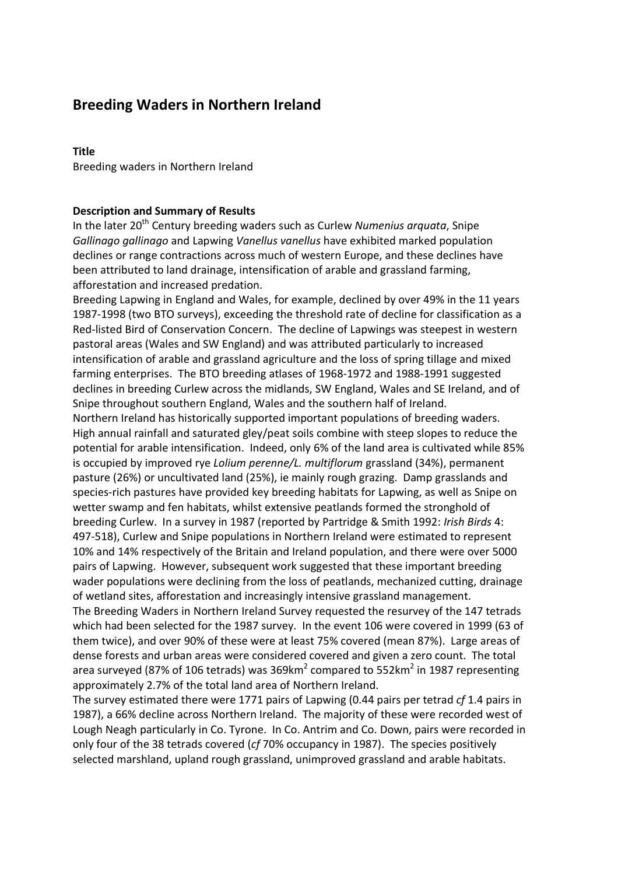# **Breeding Waders in Northern Ireland**

# **Title**

Breeding waders in Northern Ireland

# **Description and Summary of Results**

In the later 20<sup>th</sup> Century breeding waders such as Curlew *Numenius arquata*, Snipe *Gallinago gallinago* and Lapwing *Vanellus vanellus* have exhibited marked population declines or range contractions across much of western Europe, and these declines have been attributed to land drainage, intensification of arable and grassland farming, afforestation and increased predation.

Breeding Lapwing in England and Wales, for example, declined by over 49% in the 11 years 1987-1998 (two BTO surveys), exceeding the threshold rate of decline for classification as a Red-listed Bird of Conservation Concern. The decline of Lapwings was steepest in western pastoral areas (Wales and SW England) and was attributed particularly to increased intensification of arable and grassland agriculture and the loss of spring tillage and mixed farming enterprises. The BTO breeding atlases of 1968-1972 and 1988-1991 suggested declines in breeding Curlew across the midlands, SW England, Wales and SE Ireland, and of Snipe throughout southern England, Wales and the southern half of Ireland.

Northern Ireland has historically supported important populations of breeding waders. High annual rainfall and saturated gley/peat soils combine with steep slopes to reduce the potential for arable intensification. Indeed, only 6% of the land area is cultivated while 85% is occupied by improved rye *Lolium perenne/L. multiflorum* grassland (34%), permanent pasture (26%) or uncultivated land (25%), ie mainly rough grazing. Damp grasslands and species-rich pastures have provided key breeding habitats for Lapwing, as well as Snipe on wetter swamp and fen habitats, whilst extensive peatlands formed the stronghold of breeding Curlew. In a survey in 1987 (reported by Partridge & Smith 1992: *Irish Birds* 4: 497-518), Curlew and Snipe populations in Northern Ireland were estimated to represent 10% and 14% respectively of the Britain and Ireland population, and there were over 5000 pairs of Lapwing. However, subsequent work suggested that these important breeding wader populations were declining from the loss of peatlands, mechanized cutting, drainage of wetland sites, afforestation and increasingly intensive grassland management.

The Breeding Waders in Northern Ireland Survey requested the resurvey of the 147 tetrads which had been selected for the 1987 survey. In the event 106 were covered in 1999 (63 of them twice), and over 90% of these were at least 75% covered (mean 87%). Large areas of dense forests and urban areas were considered covered and given a zero count. The total area surveyed (87% of 106 tetrads) was 369km<sup>2</sup> compared to 552km<sup>2</sup> in 1987 representing approximately 2.7% of the total land area of Northern Ireland.

The survey estimated there were 1771 pairs of Lapwing (0.44 pairs per tetrad *cf* 1.4 pairs in 1987), a 66% decline across Northern Ireland. The majority of these were recorded west of Lough Neagh particularly in Co. Tyrone. In Co. Antrim and Co. Down, pairs were recorded in only four of the 38 tetrads covered (*cf* 70% occupancy in 1987). The species positively selected marshland, upland rough grassland, unimproved grassland and arable habitats.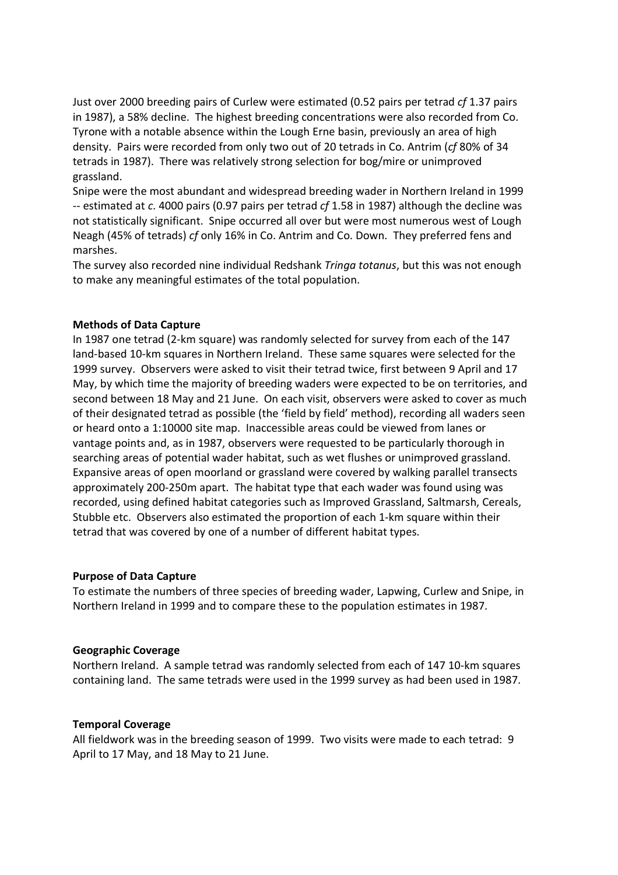Just over 2000 breeding pairs of Curlew were estimated (0.52 pairs per tetrad *cf* 1.37 pairs in 1987), a 58% decline. The highest breeding concentrations were also recorded from Co. Tyrone with a notable absence within the Lough Erne basin, previously an area of high density. Pairs were recorded from only two out of 20 tetrads in Co. Antrim (*cf* 80% of 34 tetrads in 1987). There was relatively strong selection for bog/mire or unimproved grassland.

Snipe were the most abundant and widespread breeding wader in Northern Ireland in 1999 -- estimated at *c*. 4000 pairs (0.97 pairs per tetrad *cf* 1.58 in 1987) although the decline was not statistically significant. Snipe occurred all over but were most numerous west of Lough Neagh (45% of tetrads) *cf* only 16% in Co. Antrim and Co. Down. They preferred fens and marshes.

The survey also recorded nine individual Redshank *Tringa totanus*, but this was not enough to make any meaningful estimates of the total population.

# **Methods of Data Capture**

In 1987 one tetrad (2-km square) was randomly selected for survey from each of the 147 land-based 10-km squares in Northern Ireland. These same squares were selected for the 1999 survey. Observers were asked to visit their tetrad twice, first between 9 April and 17 May, by which time the majority of breeding waders were expected to be on territories, and second between 18 May and 21 June. On each visit, observers were asked to cover as much of their designated tetrad as possible (the 'field by field' method), recording all waders seen or heard onto a 1:10000 site map. Inaccessible areas could be viewed from lanes or vantage points and, as in 1987, observers were requested to be particularly thorough in searching areas of potential wader habitat, such as wet flushes or unimproved grassland. Expansive areas of open moorland or grassland were covered by walking parallel transects approximately 200-250m apart. The habitat type that each wader was found using was recorded, using defined habitat categories such as Improved Grassland, Saltmarsh, Cereals, Stubble etc. Observers also estimated the proportion of each 1-km square within their tetrad that was covered by one of a number of different habitat types.

#### **Purpose of Data Capture**

To estimate the numbers of three species of breeding wader, Lapwing, Curlew and Snipe, in Northern Ireland in 1999 and to compare these to the population estimates in 1987.

#### **Geographic Coverage**

Northern Ireland. A sample tetrad was randomly selected from each of 147 10-km squares containing land. The same tetrads were used in the 1999 survey as had been used in 1987.

#### **Temporal Coverage**

All fieldwork was in the breeding season of 1999. Two visits were made to each tetrad: 9 April to 17 May, and 18 May to 21 June.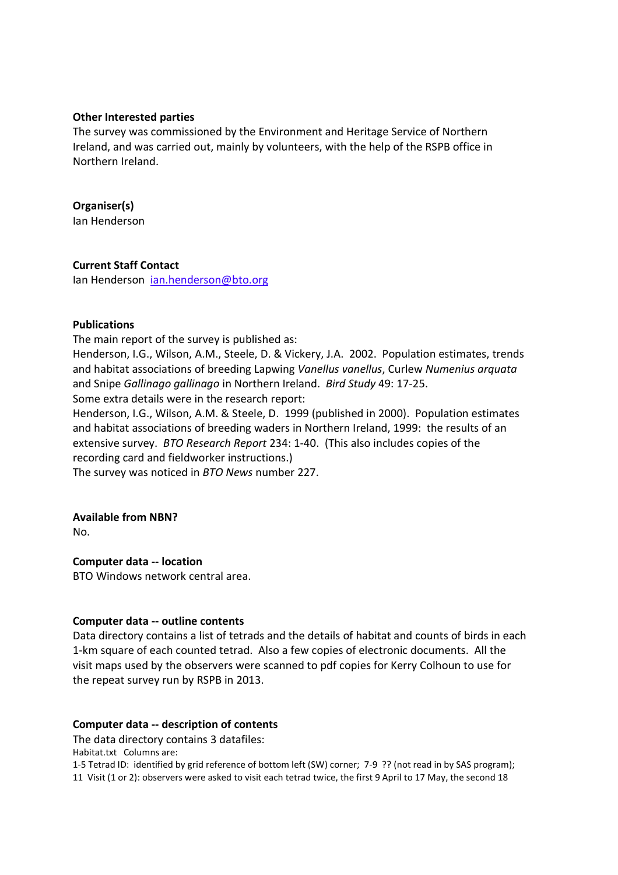#### **Other Interested parties**

The survey was commissioned by the Environment and Heritage Service of Northern Ireland, and was carried out, mainly by volunteers, with the help of the RSPB office in Northern Ireland.

# **Organiser(s)**

Ian Henderson

# **Current Staff Contact**

Ian Henderson ian.henderson@bto.org

#### **Publications**

The main report of the survey is published as:

Henderson, I.G., Wilson, A.M., Steele, D. & Vickery, J.A. 2002. Population estimates, trends and habitat associations of breeding Lapwing *Vanellus vanellus*, Curlew *Numenius arquata*  and Snipe *Gallinago gallinago* in Northern Ireland. *Bird Study* 49: 17-25.

Some extra details were in the research report:

Henderson, I.G., Wilson, A.M. & Steele, D. 1999 (published in 2000). Population estimates and habitat associations of breeding waders in Northern Ireland, 1999: the results of an extensive survey. *BTO Research Report* 234: 1-40. (This also includes copies of the recording card and fieldworker instructions.)

The survey was noticed in *BTO News* number 227.

# **Available from NBN?**

No.

**Computer data -- location** BTO Windows network central area.

# **Computer data -- outline contents**

Data directory contains a list of tetrads and the details of habitat and counts of birds in each 1-km square of each counted tetrad. Also a few copies of electronic documents. All the visit maps used by the observers were scanned to pdf copies for Kerry Colhoun to use for the repeat survey run by RSPB in 2013.

# **Computer data -- description of contents**

The data directory contains 3 datafiles:

Habitat.txt Columns are:

1-5 Tetrad ID: identified by grid reference of bottom left (SW) corner; 7-9 ?? (not read in by SAS program); 11 Visit (1 or 2): observers were asked to visit each tetrad twice, the first 9 April to 17 May, the second 18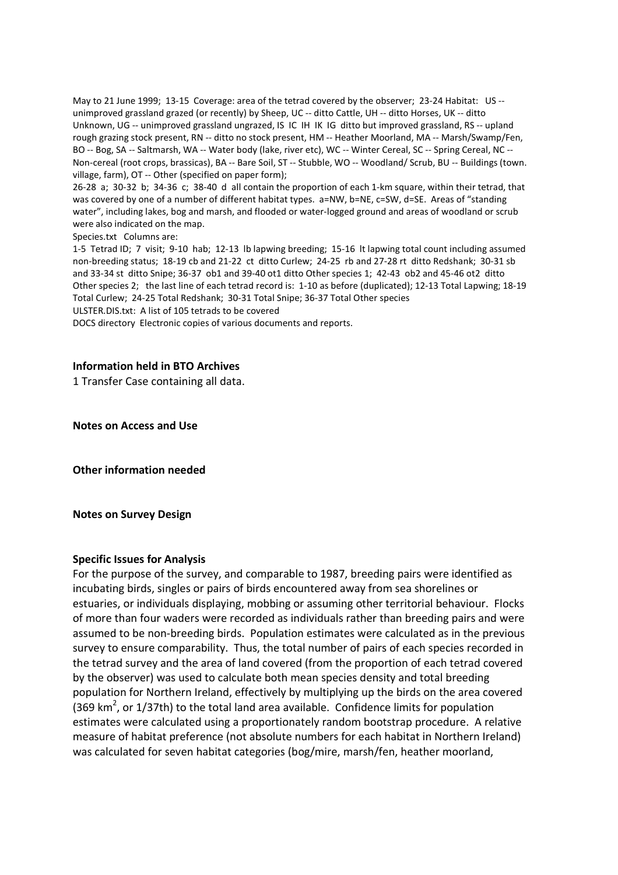May to 21 June 1999; 13-15 Coverage: area of the tetrad covered by the observer; 23-24 Habitat: US - unimproved grassland grazed (or recently) by Sheep, UC -- ditto Cattle, UH -- ditto Horses, UK -- ditto Unknown, UG -- unimproved grassland ungrazed, IS IC IH IK IG ditto but improved grassland, RS -- upland rough grazing stock present, RN -- ditto no stock present, HM -- Heather Moorland, MA -- Marsh/Swamp/Fen, BO -- Bog, SA -- Saltmarsh, WA -- Water body (lake, river etc), WC -- Winter Cereal, SC -- Spring Cereal, NC -- Non-cereal (root crops, brassicas), BA -- Bare Soil, ST -- Stubble, WO -- Woodland/ Scrub, BU -- Buildings (town. village, farm), OT -- Other (specified on paper form);

26-28 a; 30-32 b; 34-36 c; 38-40 d all contain the proportion of each 1-km square, within their tetrad, that was covered by one of a number of different habitat types. a=NW, b=NE, c=SW, d=SE. Areas of "standing water", including lakes, bog and marsh, and flooded or water-logged ground and areas of woodland or scrub were also indicated on the map.

Species.txt Columns are:

1-5 Tetrad ID; 7 visit; 9-10 hab; 12-13 lb lapwing breeding; 15-16 lt lapwing total count including assumed non-breeding status; 18-19 cb and 21-22 ct ditto Curlew; 24-25 rb and 27-28 rt ditto Redshank; 30-31 sb and 33-34 st ditto Snipe; 36-37 ob1 and 39-40 ot1 ditto Other species 1; 42-43 ob2 and 45-46 ot2 ditto Other species 2; the last line of each tetrad record is: 1-10 as before (duplicated); 12-13 Total Lapwing; 18-19 Total Curlew; 24-25 Total Redshank; 30-31 Total Snipe; 36-37 Total Other species ULSTER.DIS.txt: A list of 105 tetrads to be covered

DOCS directory Electronic copies of various documents and reports.

#### **Information held in BTO Archives**

1 Transfer Case containing all data.

**Notes on Access and Use**

**Other information needed**

**Notes on Survey Design** 

#### **Specific Issues for Analysis**

For the purpose of the survey, and comparable to 1987, breeding pairs were identified as incubating birds, singles or pairs of birds encountered away from sea shorelines or estuaries, or individuals displaying, mobbing or assuming other territorial behaviour. Flocks of more than four waders were recorded as individuals rather than breeding pairs and were assumed to be non-breeding birds. Population estimates were calculated as in the previous survey to ensure comparability. Thus, the total number of pairs of each species recorded in the tetrad survey and the area of land covered (from the proportion of each tetrad covered by the observer) was used to calculate both mean species density and total breeding population for Northern Ireland, effectively by multiplying up the birds on the area covered (369  $\text{km}^2$ , or 1/37th) to the total land area available. Confidence limits for population estimates were calculated using a proportionately random bootstrap procedure. A relative measure of habitat preference (not absolute numbers for each habitat in Northern Ireland) was calculated for seven habitat categories (bog/mire, marsh/fen, heather moorland,